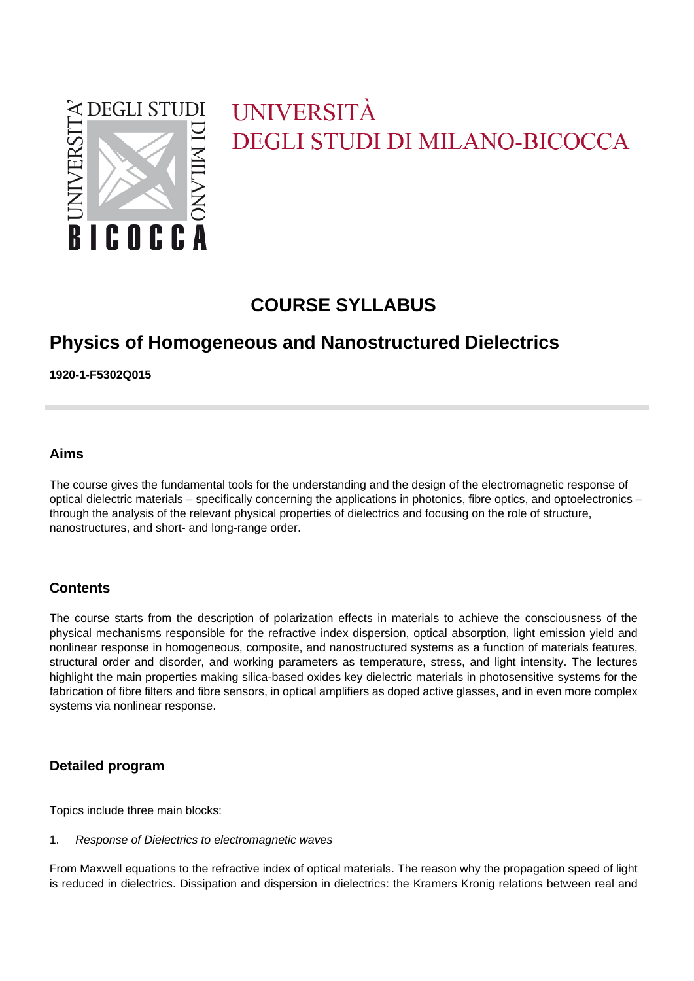

# UNIVERSITÀ **DEGLI STUDI DI MILANO-BICOCCA**

# **COURSE SYLLABUS**

# **Physics of Homogeneous and Nanostructured Dielectrics**

**1920-1-F5302Q015**

# **Aims**

The course gives the fundamental tools for the understanding and the design of the electromagnetic response of optical dielectric materials – specifically concerning the applications in photonics, fibre optics, and optoelectronics – through the analysis of the relevant physical properties of dielectrics and focusing on the role of structure, nanostructures, and short- and long-range order.

# **Contents**

The course starts from the description of polarization effects in materials to achieve the consciousness of the physical mechanisms responsible for the refractive index dispersion, optical absorption, light emission yield and nonlinear response in homogeneous, composite, and nanostructured systems as a function of materials features, structural order and disorder, and working parameters as temperature, stress, and light intensity. The lectures highlight the main properties making silica-based oxides key dielectric materials in photosensitive systems for the fabrication of fibre filters and fibre sensors, in optical amplifiers as doped active glasses, and in even more complex systems via nonlinear response.

# **Detailed program**

Topics include three main blocks:

1. Response of Dielectrics to electromagnetic waves

From Maxwell equations to the refractive index of optical materials. The reason why the propagation speed of light is reduced in dielectrics. Dissipation and dispersion in dielectrics: the Kramers Kronig relations between real and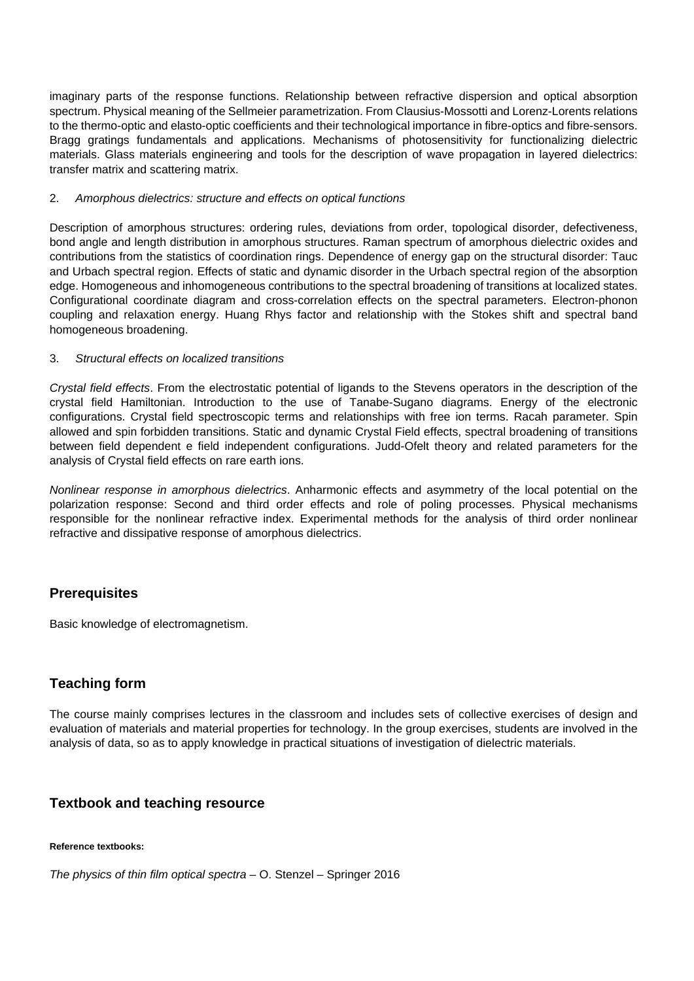imaginary parts of the response functions. Relationship between refractive dispersion and optical absorption spectrum. Physical meaning of the Sellmeier parametrization. From Clausius-Mossotti and Lorenz-Lorents relations to the thermo-optic and elasto-optic coefficients and their technological importance in fibre-optics and fibre-sensors. Bragg gratings fundamentals and applications. Mechanisms of photosensitivity for functionalizing dielectric materials. Glass materials engineering and tools for the description of wave propagation in layered dielectrics: transfer matrix and scattering matrix.

#### 2. Amorphous dielectrics: structure and effects on optical functions

Description of amorphous structures: ordering rules, deviations from order, topological disorder, defectiveness, bond angle and length distribution in amorphous structures. Raman spectrum of amorphous dielectric oxides and contributions from the statistics of coordination rings. Dependence of energy gap on the structural disorder: Tauc and Urbach spectral region. Effects of static and dynamic disorder in the Urbach spectral region of the absorption edge. Homogeneous and inhomogeneous contributions to the spectral broadening of transitions at localized states. Configurational coordinate diagram and cross-correlation effects on the spectral parameters. Electron-phonon coupling and relaxation energy. Huang Rhys factor and relationship with the Stokes shift and spectral band homogeneous broadening.

#### 3. Structural effects on localized transitions

Crystal field effects. From the electrostatic potential of ligands to the Stevens operators in the description of the crystal field Hamiltonian. Introduction to the use of Tanabe-Sugano diagrams. Energy of the electronic configurations. Crystal field spectroscopic terms and relationships with free ion terms. Racah parameter. Spin allowed and spin forbidden transitions. Static and dynamic Crystal Field effects, spectral broadening of transitions between field dependent e field independent configurations. Judd-Ofelt theory and related parameters for the analysis of Crystal field effects on rare earth ions.

Nonlinear response in amorphous dielectrics. Anharmonic effects and asymmetry of the local potential on the polarization response: Second and third order effects and role of poling processes. Physical mechanisms responsible for the nonlinear refractive index. Experimental methods for the analysis of third order nonlinear refractive and dissipative response of amorphous dielectrics.

# **Prerequisites**

Basic knowledge of electromagnetism.

# **Teaching form**

The course mainly comprises lectures in the classroom and includes sets of collective exercises of design and evaluation of materials and material properties for technology. In the group exercises, students are involved in the analysis of data, so as to apply knowledge in practical situations of investigation of dielectric materials.

# **Textbook and teaching resource**

#### **Reference textbooks:**

The physics of thin film optical spectra  $-$  O. Stenzel – Springer 2016